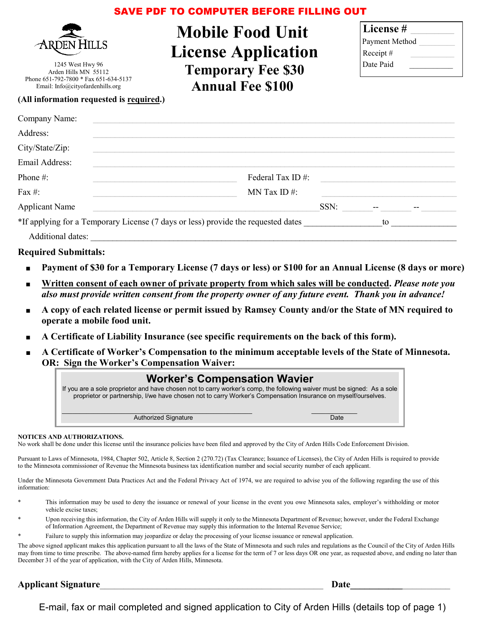# SAVE PDF TO COMPUTER BEFORE FILLING OUT



1245 West Hwy 96 Arden Hills MN 55112 Phone 651-792-7800 \* Fax 651-634-5137 Email: Info@cityofardenhills.org

**Mobile Food Unit License Application Temporary Fee \$30 Annual Fee \$100** 

| License #      |  |
|----------------|--|
| Payment Method |  |
| Receipt#       |  |
| Date Paid      |  |
|                |  |

### **(All information requested is required.)**

| Company Name:                                                                     |                  |
|-----------------------------------------------------------------------------------|------------------|
| Address:                                                                          |                  |
| City/State/Zip:                                                                   |                  |
| Email Address:                                                                    |                  |
| Phone #:                                                                          | Federal Tax ID#: |
| Fax #:                                                                            | MN Tax ID $#$ :  |
| <b>Applicant Name</b>                                                             | SSN:             |
| *If applying for a Temporary License (7 days or less) provide the requested dates | to               |
| Additional dates:                                                                 |                  |

### **Required Submittals:**

- Payment of \$30 for a Temporary License (7 days or less) or \$100 for an Annual License (8 days or more)
- Written consent of each owner of private property from which sales will be conducted. *Please note you also must provide written consent from the property owner of any future event. Thank you in advance!*
- **A copy of each related license or permit issued by Ramsey County and/or the State of MN required to operate a mobile food unit.**
- A Certificate of Liability Insurance (see specific requirements on the back of this form).
- **A Certificate of Worker's Compensation to the minimum acceptable levels of the State of Minnesota. OR: Sign the Worker's Compensation Waiver:**

| <b>Worker's Compensation Wavier</b><br>If you are a sole proprietor and have chosen not to carry worker's comp, the following waiver must be signed: As a sole<br>proprietor or partnership, I/we have chosen not to carry Worker's Compensation Insurance on myself/ourselves. |      |
|---------------------------------------------------------------------------------------------------------------------------------------------------------------------------------------------------------------------------------------------------------------------------------|------|
| <b>Authorized Signature</b>                                                                                                                                                                                                                                                     | Date |

#### **NOTICES AND AUTHORIZATIONS.**

No work shall be done under this license until the insurance policies have been filed and approved by the City of Arden Hills Code Enforcement Division.

Pursuant to Laws of Minnesota, 1984, Chapter 502, Article 8, Section 2 (270.72) (Tax Clearance; Issuance of Licenses), the City of Arden Hills is required to provide to the Minnesota commissioner of Revenue the Minnesota business tax identification number and social security number of each applicant.

Under the Minnesota Government Data Practices Act and the Federal Privacy Act of 1974, we are required to advise you of the following regarding the use of this information:

- This information may be used to deny the issuance or renewal of your license in the event you owe Minnesota sales, employer's withholding or motor vehicle excise taxes;
- Upon receiving this information, the City of Arden Hills will supply it only to the Minnesota Department of Revenue; however, under the Federal Exchange of Information Agreement, the Department of Revenue may supply this information to the Internal Revenue Service;
- Failure to supply this information may jeopardize or delay the processing of your license issuance or renewal application.

The above signed applicant makes this application pursuant to all the laws of the State of Minnesota and such rules and regulations as the Council of the City of Arden Hills may from time to time prescribe. The above-named firm hereby applies for a license for the term of 7 or less days OR one year, as requested above, and ending no later than December 31 of the year of application, with the City of Arden Hills, Minnesota.

### **Applicant Signature\_\_\_\_\_\_\_\_\_\_\_\_\_\_\_\_\_\_\_\_\_\_\_\_\_\_\_\_\_\_\_\_\_\_\_\_\_\_\_\_\_\_\_\_\_\_\_ Date\_\_\_\_\_\_\_\_\_\_\_\_\_\_\_\_\_\_\_\_\_**

E-mail, fax or mail completed and signed application to City of Arden Hills (details top of page 1)